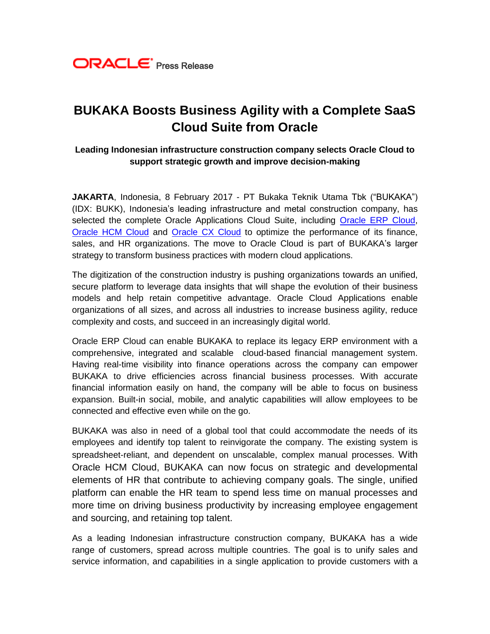

# **BUKAKA Boosts Business Agility with a Complete SaaS Cloud Suite from Oracle**

### **Leading Indonesian infrastructure construction company selects Oracle Cloud to support strategic growth and improve decision-making**

**JAKARTA**, Indonesia, 8 February 2017 - PT Bukaka Teknik Utama Tbk ("BUKAKA") (IDX: BUKK), Indonesia's leading infrastructure and metal construction company, has selected the complete Oracle Applications Cloud Suite, including [Oracle ERP Cloud,](https://cloud.oracle.com/en_US/erp-cloud) [Oracle HCM Cloud](https://cloud.oracle.com/en_US/hcm-cloud) and [Oracle CX Cloud](https://cloud.oracle.com/en_US/customer-experience-cloud) to optimize the performance of its finance, sales, and HR organizations. The move to Oracle Cloud is part of BUKAKA's larger strategy to transform business practices with modern cloud applications.

The digitization of the construction industry is pushing organizations towards an unified, secure platform to leverage data insights that will shape the evolution of their business models and help retain competitive advantage. Oracle Cloud Applications enable organizations of all sizes, and across all industries to increase business agility, reduce complexity and costs, and succeed in an increasingly digital world.

Oracle ERP Cloud can enable BUKAKA to replace its legacy ERP environment with a comprehensive, integrated and scalable cloud-based financial management system. Having real-time visibility into finance operations across the company can empower BUKAKA to drive efficiencies across financial business processes. With accurate financial information easily on hand, the company will be able to focus on business expansion. Built-in social, mobile, and analytic capabilities will allow employees to be connected and effective even while on the go.

BUKAKA was also in need of a global tool that could accommodate the needs of its employees and identify top talent to reinvigorate the company. The existing system is spreadsheet-reliant, and dependent on unscalable, complex manual processes. With Oracle HCM Cloud, BUKAKA can now focus on strategic and developmental elements of HR that contribute to achieving company goals. The single, unified platform can enable the HR team to spend less time on manual processes and more time on driving business productivity by increasing employee engagement and sourcing, and retaining top talent.

As a leading Indonesian infrastructure construction company, BUKAKA has a wide range of customers, spread across multiple countries. The goal is to unify sales and service information, and capabilities in a single application to provide customers with a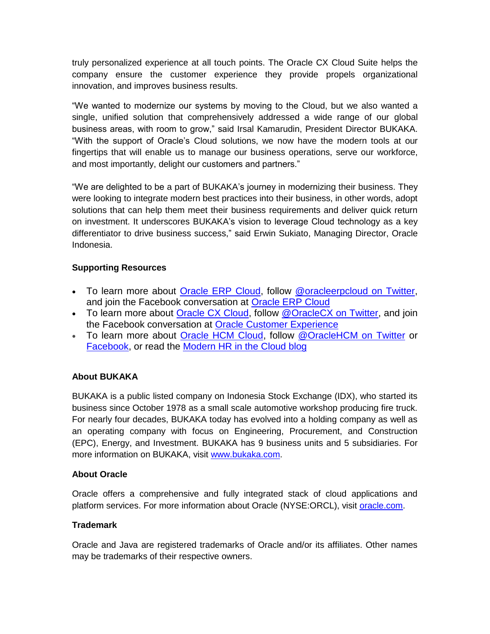truly personalized experience at all touch points. The Oracle CX Cloud Suite helps the company ensure the customer experience they provide propels organizational innovation, and improves business results.

"We wanted to modernize our systems by moving to the Cloud, but we also wanted a single, unified solution that comprehensively addressed a wide range of our global business areas, with room to grow," said Irsal Kamarudin, President Director BUKAKA. "With the support of Oracle's Cloud solutions, we now have the modern tools at our fingertips that will enable us to manage our business operations, serve our workforce, and most importantly, delight our customers and partners."

"We are delighted to be a part of BUKAKA's journey in modernizing their business. They were looking to integrate modern best practices into their business, in other words, adopt solutions that can help them meet their business requirements and deliver quick return on investment. It underscores BUKAKA's vision to leverage Cloud technology as a key differentiator to drive business success," said Erwin Sukiato, Managing Director, Oracle Indonesia.

## **Supporting Resources**

- To learn more about [Oracle ERP Cloud,](https://cloud.oracle.com/erp-cloud) follow [@oracleerpcloud on Twitter,](https://twitter.com/oracleerpcloud) and join the Facebook conversation at [Oracle ERP Cloud](https://www.facebook.com/OracleERPCloud/)
- To learn more about [Oracle CX Cloud,](https://www.oracle.com/applications/customer-experience/index.html) follow [@OracleCX on Twitter,](https://twitter.com/oraclecx) and join the Facebook conversation at [Oracle Customer Experience](https://www.facebook.com/OracleCustomerExperience/)
- To learn more about [Oracle HCM Cloud,](http://www.oracle.com/us/products/applications/human-capital-management/products/index.html) follow [@OracleHCM on Twitter](https://twitter.com/oraclehcm) or [Facebook,](https://www.facebook.com/OracleHCM) or read the [Modern HR in the Cloud blog](https://blogs.oracle.com/OracleHCM/)

## **About BUKAKA**

BUKAKA is a public listed company on Indonesia Stock Exchange (IDX), who started its business since October 1978 as a small scale automotive workshop producing fire truck. For nearly four decades, BUKAKA today has evolved into a holding company as well as an operating company with focus on Engineering, Procurement, and Construction (EPC), Energy, and Investment. BUKAKA has 9 business units and 5 subsidiaries. For more information on BUKAKA, visit [www.bukaka.com.](http://www.bukaka.com/)

## **About Oracle**

Oracle offers a comprehensive and fully integrated stack of cloud applications and platform services. For more information about Oracle (NYSE:ORCL), visit [oracle.com.](http://www.oracle.com/)

## **Trademark**

Oracle and Java are registered trademarks of Oracle and/or its affiliates. Other names may be trademarks of their respective owners.